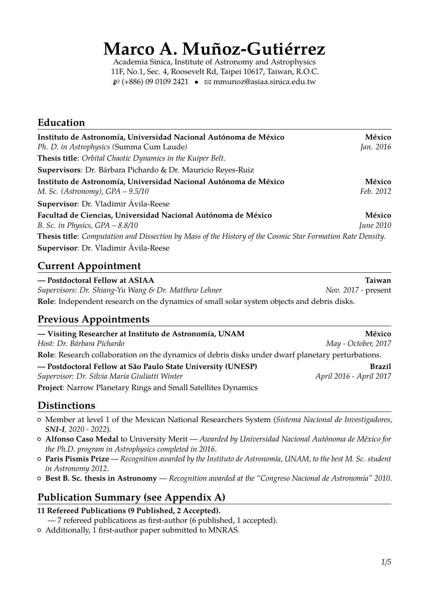# **Marco A. Muñoz-Gutiérrez**

Academia Sinica, Institute of Astronomy and Astrophysics 11F, No.1, Sec. 4, Roosevelt Rd, Taipei 10617, Taiwan, R.O.C.  $\mathcal{D}(+886)$  09 0109 2421 •  $\mathcal{D}$  [mmunoz@asiaa.sinica.edu.tw](mailto:mmunoz@asiaa.sinica.edu.tw)

# **Education**

| Instituto de Astronomía, Universidad Nacional Autónoma de México                                                   | México           |
|--------------------------------------------------------------------------------------------------------------------|------------------|
| Ph. D. in Astrophysics (Summa Cum Laude)                                                                           | Jan. 2016        |
| Thesis title: Orbital Chaotic Dynamics in the Kuiper Belt.                                                         |                  |
| Supervisors: Dr. Bárbara Pichardo & Dr. Mauricio Reyes-Ruiz                                                        |                  |
| Instituto de Astronomía, Universidad Nacional Autónoma de México                                                   | México           |
| M. Sc. (Astronomy), $GPA - 9.5/10$                                                                                 | Feb. 2012        |
| Supervisor: Dr. Vladimir Ávila-Reese                                                                               |                  |
| Facultad de Ciencias, Universidad Nacional Autónoma de México                                                      | México           |
| B. Sc. in Physics, $GPA - 8.8/10$                                                                                  | <i>June</i> 2010 |
| <b>Thesis title</b> : Computation and Dissection by Mass of the History of the Cosmic Star Formation Rate Density. |                  |
| Supervisor: Dr. Vladimir Ávila-Reese                                                                               |                  |

## **Current Appointment**

| - Postdoctoral Fellow at ASIAA                                                                    | Taiwan              |
|---------------------------------------------------------------------------------------------------|---------------------|
| Supervisors: Dr. Shiang-Yu Wang & Dr. Matthew Lehner                                              | Nov. 2017 - present |
| <b>Role:</b> Independent research on the dynamics of small solar system objects and debris disks. |                     |

# **Previous Appointments**

| — Visiting Researcher at Instituto de Astronomía, UNAM                                            | México                  |
|---------------------------------------------------------------------------------------------------|-------------------------|
| Host: Dr. Bárbara Pichardo                                                                        | May - October, 2017     |
| Role: Research collaboration on the dynamics of debris disks under dwarf planetary perturbations. |                         |
| - Postdoctoral Fellow at São Paulo State University (UNESP)                                       | <b>Brazil</b>           |
| Supervisor: Dr. Silvia Maria Giuliatti Winter                                                     | April 2016 - April 2017 |
| <b>Project:</b> Narrow Planetary Rings and Small Satellites Dynamics                              |                         |

## **Distinctions**

- { Member at level 1 of the Mexican National Researchers System (*Sistema Nacional de Investigadores, SNI-I, 2020 - 2022*).
- { **Alfonso Caso Medal** to University Merit *Awarded by Universidad Nacional Autónoma de México for the Ph.D. program in Astrophysics completed in 2016*.
- { **Paris Pismis Prize** *Recognition awarded by the Instituto de Astronomía, UNAM, to the best M. Sc. student in Astronomy 2012*.
- { **Best B. Sc. thesis in Astronomy** *Recognition awarded at the "Congreso Nacional de Astronomía" 2010*.

# **Publication Summary (see Appendix A)**

### **11 Refereed Publications (9 Published, 2 Accepted).**

- 7 refereed publications as first-author (6 published, 1 accepted).
- { Additionally, 1 first-author paper submitted to MNRAS.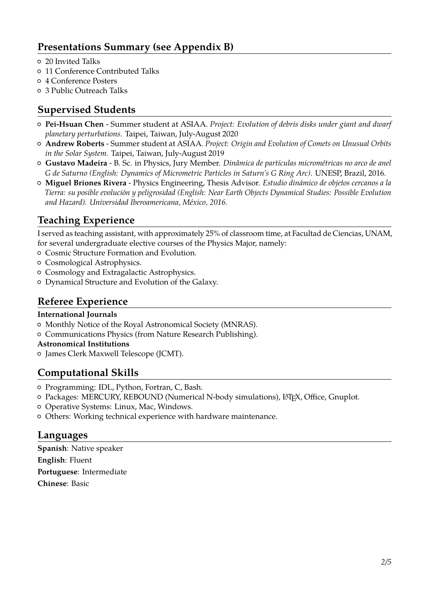# **Presentations Summary (see Appendix B)**

- { 20 Invited Talks
- { 11 Conference Contributed Talks
- { 4 Conference Posters
- { 3 Public Outreach Talks

# **Supervised Students**

- { **Pei-Hsuan Chen** Summer student at ASIAA. *Project: Evolution of debris disks under giant and dwarf planetary perturbations.* Taipei, Taiwan, July-August 2020
- { **Andrew Roberts** Summer student at ASIAA. *Project: Origin and Evolution of Comets on Unusual Orbits in the Solar System.* Taipei, Taiwan, July-August 2019
- { **Gustavo Madeira** B. Sc. in Physics, Jury Member. *Dinâmica de partículas micrométricas no arco de anel G de Saturno (English: Dynamics of Micrometric Particles in Saturn's G Ring Arc)*. UNESP, Brazil, 2016.
- { **Miguel Briones Rivera** Physics Engineering, Thesis Advisor. *Estudio dinámico de objetos cercanos a la Tierra: su posible evolución y peligrosidad (English: Near Earth Objects Dynamical Studies: Possible Evolution and Hazard). Universidad Iberoamericana, México, 2016.*

# **Teaching Experience**

I served as teaching assistant, with approximately 25% of classroom time, at Facultad de Ciencias, UNAM, for several undergraduate elective courses of the Physics Major, namely:

- { Cosmic Structure Formation and Evolution.
- $\circ$  Cosmological Astrophysics.
- { Cosmology and Extragalactic Astrophysics.
- { Dynamical Structure and Evolution of the Galaxy.

## **Referee Experience**

#### **International Journals**

- { Monthly Notice of the Royal Astronomical Society (MNRAS).
- $\circ$  Communications Physics (from Nature Research Publishing).
- **Astronomical Institutions**
- { James Clerk Maxwell Telescope (JCMT).

## **Computational Skills**

- { Programming: IDL, Python, Fortran, C, Bash.
- { Packages: MERCURY, REBOUND (Numerical N-body simulations), LATEX, Office, Gnuplot.
- { Operative Systems: Linux, Mac, Windows.
- { Others: Working technical experience with hardware maintenance.

### **Languages**

**Spanish**: Native speaker **English**: Fluent **Portuguese**: Intermediate **Chinese**: Basic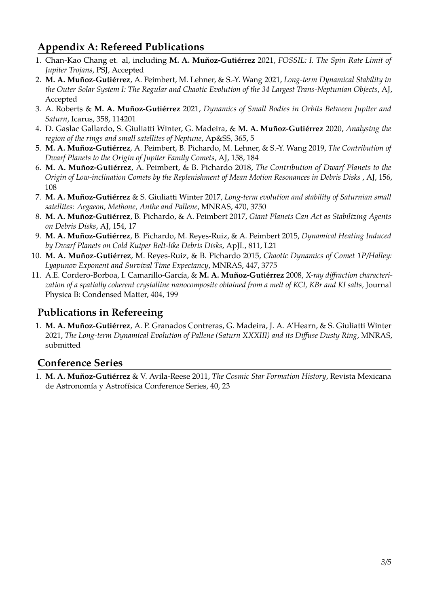# **Appendix A: Refereed Publications**

- 1. Chan-Kao Chang et. al, including **M. A. Muñoz-Gutiérrez** 2021, *FOSSIL: I. The Spin Rate Limit of Jupiter Trojans*, PSJ, Accepted
- 2. **M. A. Muñoz-Gutiérrez**, A. Peimbert, M. Lehner, & S.-Y. Wang 2021, *Long-term Dynamical Stability in the Outer Solar System I: The Regular and Chaotic Evolution of the 34 Largest Trans-Neptunian Objects*, AJ, Accepted
- 3. A. Roberts & **M. A. Muñoz-Gutiérrez** 2021, *Dynamics of Small Bodies in Orbits Between Jupiter and Saturn*, Icarus, 358, 114201
- 4. D. Gaslac Gallardo, S. Giuliatti Winter, G. Madeira, & **M. A. Muñoz-Gutiérrez** 2020, *Analysing the region of the rings and small satellites of Neptune*, Ap&SS, 365, 5
- 5. **M. A. Muñoz-Gutiérrez**, A. Peimbert, B. Pichardo, M. Lehner, & S.-Y. Wang 2019, *The Contribution of Dwarf Planets to the Origin of Jupiter Family Comets*, AJ, 158, 184
- 6. **M. A. Muñoz-Gutiérrez**, A. Peimbert, & B. Pichardo 2018, *The Contribution of Dwarf Planets to the Origin of Low-inclination Comets by the Replenishment of Mean Motion Resonances in Debris Disks* , AJ, 156, 108
- 7. **M. A. Muñoz-Gutiérrez** & S. Giuliatti Winter 2017, *Long-term evolution and stability of Saturnian small satellites: Aegaeon, Methone, Anthe and Pallene*, MNRAS, 470, 3750
- 8. **M. A. Muñoz-Gutiérrez**, B. Pichardo, & A. Peimbert 2017, *Giant Planets Can Act as Stabilizing Agents on Debris Disks*, AJ, 154, 17
- 9. **M. A. Muñoz-Gutiérrez**, B. Pichardo, M. Reyes-Ruiz, & A. Peimbert 2015, *Dynamical Heating Induced by Dwarf Planets on Cold Kuiper Belt-like Debris Disks*, ApJL, 811, L21
- 10. **M. A. Muñoz-Gutiérrez**, M. Reyes-Ruiz, & B. Pichardo 2015, *Chaotic Dynamics of Comet 1P/Halley: Lyapunov Exponent and Survival Time Expectancy*, MNRAS, 447, 3775
- 11. A.E. Cordero-Borboa, I. Camarillo-García, & **M. A. Muñoz-Gutiérrez** 2008, *X-ray diffraction characterization of a spatially coherent crystalline nanocomposite obtained from a melt of KCl, KBr and KI salts*, Journal Physica B: Condensed Matter, 404, 199

# **Publications in Refereeing**

1. **M. A. Muñoz-Gutiérrez**, A. P. Granados Contreras, G. Madeira, J. A. A'Hearn, & S. Giuliatti Winter 2021, *The Long-term Dynamical Evolution of Pallene (Saturn XXXIII) and its Diffuse Dusty Ring*, MNRAS, submitted

# **Conference Series**

1. **M. A. Muñoz-Gutiérrez** & V. Avila-Reese 2011, *The Cosmic Star Formation History*, Revista Mexicana de Astronomía y Astrofísica Conference Series, 40, 23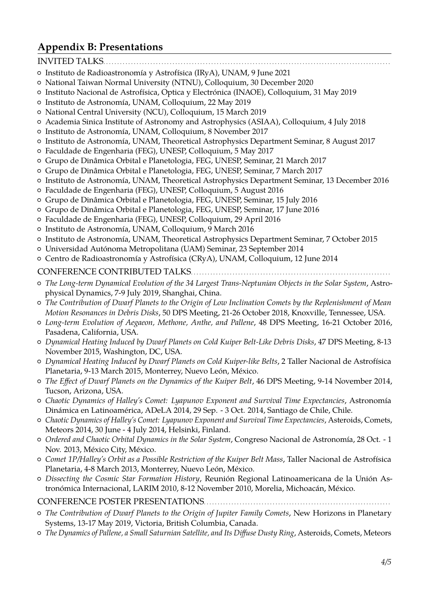# **Appendix B: Presentations**

#### INVITED TALKS.

- { Instituto de Radioastronomía y Astrofísica (IRyA), UNAM, 9 June 2021
- { National Taiwan Normal University (NTNU), Colloquium, 30 December 2020
- { Instituto Nacional de Astrofísica, Optica y Electrónica (INAOE), Colloquium, 31 May 2019
- { Instituto de Astronomía, UNAM, Colloquium, 22 May 2019
- { National Central University (NCU), Colloquium, 15 March 2019
- { Academia Sinica Institute of Astronomy and Astrophysics (ASIAA), Colloquium, 4 July 2018
- { Instituto de Astronomía, UNAM, Colloquium, 8 November 2017
- { Instituto de Astronomía, UNAM, Theoretical Astrophysics Department Seminar, 8 August 2017
- { Faculdade de Engenharia (FEG), UNESP, Colloquium, 5 May 2017
- { Grupo de Dinâmica Orbital e Planetologia, FEG, UNESP, Seminar, 21 March 2017
- { Grupo de Dinâmica Orbital e Planetologia, FEG, UNESP, Seminar, 7 March 2017
- { Instituto de Astronomía, UNAM, Theoretical Astrophysics Department Seminar, 13 December 2016
- { Faculdade de Engenharia (FEG), UNESP, Colloquium, 5 August 2016
- { Grupo de Dinâmica Orbital e Planetologia, FEG, UNESP, Seminar, 15 July 2016
- { Grupo de Dinâmica Orbital e Planetologia, FEG, UNESP, Seminar, 17 June 2016
- { Faculdade de Engenharia (FEG), UNESP, Colloquium, 29 April 2016
- { Instituto de Astronomía, UNAM, Colloquium, 9 March 2016
- { Instituto de Astronomía, UNAM, Theoretical Astrophysics Department Seminar, 7 October 2015
- { Universidad Autónoma Metropolitana (UAM) Seminar, 23 September 2014
- { Centro de Radioastronomía y Astrofísica (CRyA), UNAM, Colloquium, 12 June 2014

#### CONFERENCE CONTRIBUTED TALKS. . . . . . . . . . . . . . . . . . . . . . . . . . . . . . . . . . . . . . . . . . . . . . . . . . . . . . . . . . . . . . . . . . . . . . . .

- { *The Long-term Dynamical Evolution of the 34 Largest Trans-Neptunian Objects in the Solar System*, Astrophysical Dynamics, 7-9 July 2019, Shanghai, China.
- { *The Contribution of Dwarf Planets to the Origin of Low Inclination Comets by the Replenishment of Mean Motion Resonances in Debris Disks*, 50 DPS Meeting, 21-26 October 2018, Knoxville, Tennessee, USA.
- { *Long-term Evolution of Aegaeon, Methone, Anthe, and Pallene*, 48 DPS Meeting, 16-21 October 2016, Pasadena, California, USA.
- { *Dynamical Heating Induced by Dwarf Planets on Cold Kuiper Belt-Like Debris Disks*, 47 DPS Meeting, 8-13 November 2015, Washington, DC, USA.
- { *Dynamical Heating Induced by Dwarf Planets on Cold Kuiper-like Belts*, 2 Taller Nacional de Astrofísica Planetaria, 9-13 March 2015, Monterrey, Nuevo León, México.
- { *The Effect of Dwarf Planets on the Dynamics of the Kuiper Belt*, 46 DPS Meeting, 9-14 November 2014, Tucson, Arizona, USA.
- { *Chaotic Dynamics of Halley's Comet: Lyapunov Exponent and Survival Time Expectancies*, Astronomía Dinámica en Latinoamérica, ADeLA 2014, 29 Sep. - 3 Oct. 2014, Santiago de Chile, Chile.
- { *Chaotic Dynamics of Halley's Comet: Lyapunov Exponent and Survival Time Expectancies*, Asteroids, Comets, Meteors 2014, 30 June - 4 July 2014, Helsinki, Finland.
- { *Ordered and Chaotic Orbital Dynamics in the Solar System*, Congreso Nacional de Astronomía, 28 Oct. 1 Nov. 2013, México City, México.
- { *Comet 1P/Halley's Orbit as a Possible Restriction of the Kuiper Belt Mass*, Taller Nacional de Astrofísica Planetaria, 4-8 March 2013, Monterrey, Nuevo León, México.
- { *Dissecting the Cosmic Star Formation History*, Reunión Regional Latinoamericana de la Unión Astronómica Internacional, LARIM 2010, 8-12 November 2010, Morelia, Michoacán, México.

CONFERENCE POSTER PRESENTATIONS. . . . . . . . . . . . . . . . . . . . . . . . . . . . . . . . . . . . . . . . . . . . . . . . . . . . . . . . . . . . . . . . . . . .

- { *The Contribution of Dwarf Planets to the Origin of Jupiter Family Comets*, New Horizons in Planetary Systems, 13-17 May 2019, Victoria, British Columbia, Canada.
- { *The Dynamics of Pallene, a Small Saturnian Satellite, and Its Diffuse Dusty Ring*, Asteroids, Comets, Meteors